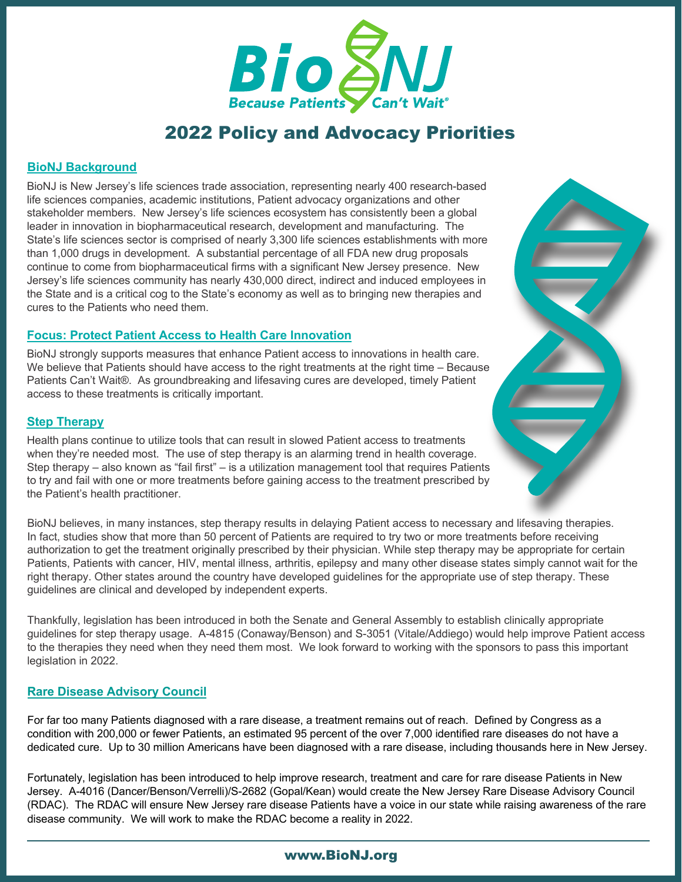

# 2022 Policy and Advocacy Priorities

#### **BioNJ Background**

BioNJ is New Jersey's life sciences trade association, representing nearly 400 research-based life sciences companies, academic institutions, Patient advocacy organizations and other stakeholder members. New Jersey's life sciences ecosystem has consistently been a global leader in innovation in biopharmaceutical research, development and manufacturing. The State's life sciences sector is comprised of nearly 3,300 life sciences establishments with more than 1,000 drugs in development. A substantial percentage of all FDA new drug proposals continue to come from biopharmaceutical firms with a significant New Jersey presence. New Jersey's life sciences community has nearly 430,000 direct, indirect and induced employees in the State and is a critical cog to the State's economy as well as to bringing new therapies and cures to the Patients who need them.

## **Focus: Protect Patient Access to Health Care Innovation**

BioNJ strongly supports measures that enhance Patient access to innovations in health care. We believe that Patients should have access to the right treatments at the right time – Because Patients Can't Wait®. As groundbreaking and lifesaving cures are developed, timely Patient access to these treatments is critically important.

## **Step Therapy**

Health plans continue to utilize tools that can result in slowed Patient access to treatments when they're needed most. The use of step therapy is an alarming trend in health coverage. Step therapy – also known as "fail first" – is a utilization management tool that requires Patients to try and fail with one or more treatments before gaining access to the treatment prescribed by the Patient's health practitioner.

BioNJ believes, in many instances, step therapy results in delaying Patient access to necessary and lifesaving therapies. In fact, studies show that more than 50 percent of Patients are required to try two or more treatments before receiving authorization to get the treatment originally prescribed by their physician. While step therapy may be appropriate for certain Patients, Patients with cancer, HIV, mental illness, arthritis, epilepsy and many other disease states simply cannot wait for the right therapy. Other states around the country have developed guidelines for the appropriate use of step therapy. These guidelines are clinical and developed by independent experts.

Thankfully, legislation has been introduced in both the Senate and General Assembly to establish clinically appropriate guidelines for step therapy usage. A-4815 (Conaway/Benson) and S-3051 (Vitale/Addiego) would help improve Patient access to the therapies they need when they need them most. We look forward to working with the sponsors to pass this important legislation in 2022.

## **Rare Disease Advisory Council**

For far too many Patients diagnosed with a rare disease, a treatment remains out of reach. Defined by Congress as a condition with 200,000 or fewer Patients, an estimated 95 percent of the over 7,000 identified rare diseases do not have a dedicated cure. Up to 30 million Americans have been diagnosed with a rare disease, including thousands here in New Jersey.

Fortunately, legislation has been introduced to help improve research, treatment and care for rare disease Patients in New Jersey. A-4016 (Dancer/Benson/Verrelli)/S-2682 (Gopal/Kean) would create the New Jersey Rare Disease Advisory Council (RDAC). The RDAC will ensure New Jersey rare disease Patients have a voice in our state while raising awareness of the rare disease community. We will work to make the RDAC become a reality in 2022.

#### [www.BioNJ.org](http://www.BioNJ.org)